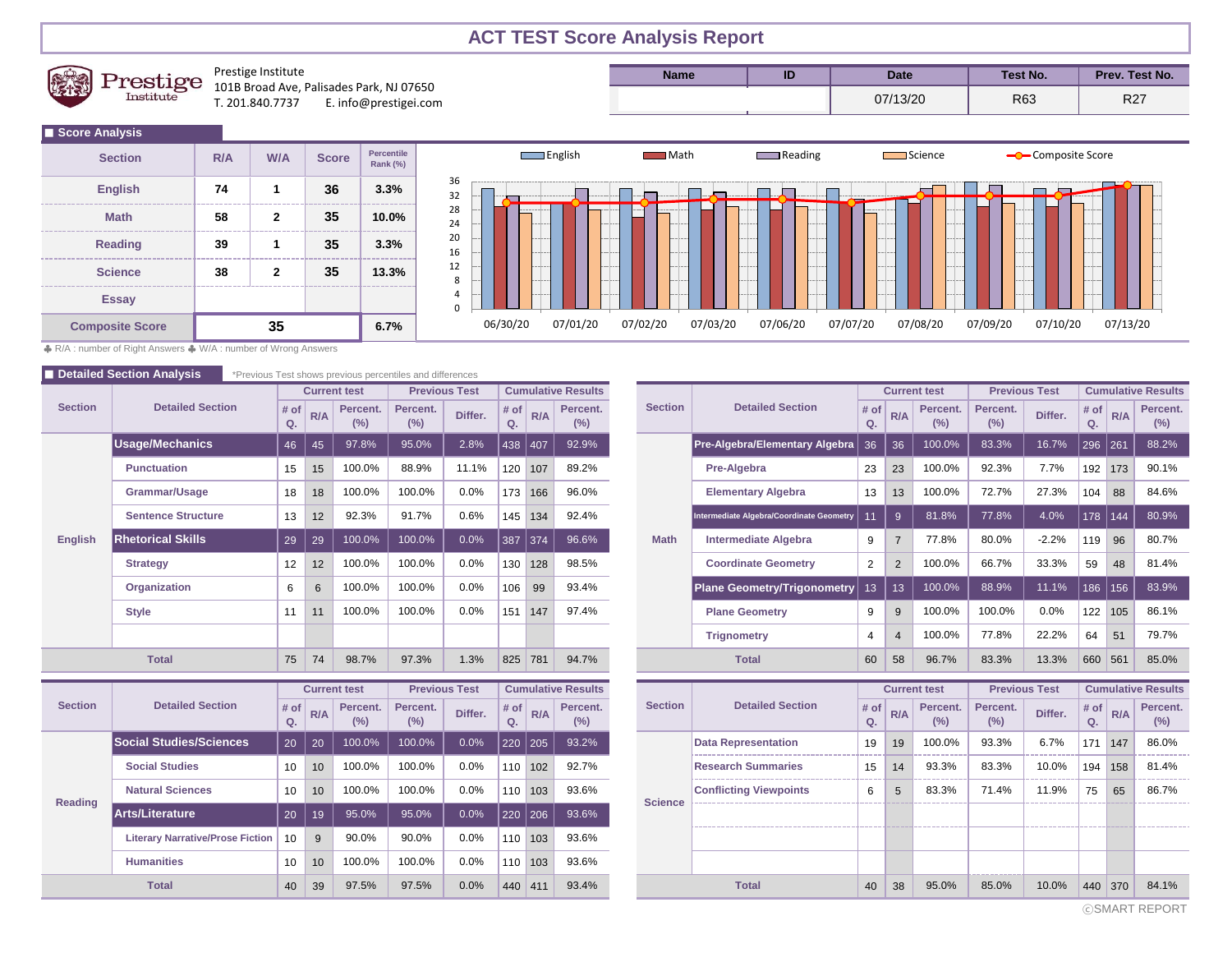## **ACT TEST Score Analysis Report**



Prestige Institute 101B Broad Ave, Palisades Park, NJ 07650<br>T. 201.840.7737 E. info@prestigei.cor E. info@prestigei.com

| Name | ID | Date     | <b>Test No.</b> | Prev. Test No. |
|------|----|----------|-----------------|----------------|
|      |    | 07/13/20 | R63             | כמם<br>r z     |

| Score Analysis         |     |            |              |                                      |  |
|------------------------|-----|------------|--------------|--------------------------------------|--|
| <b>Section</b>         | R/A | <b>W/A</b> | <b>Score</b> | <b>Percentile</b><br><b>Rank (%)</b> |  |
| <b>English</b>         | 74  |            | 36           | 3.3%                                 |  |
| <b>Math</b>            | 58  | 2          | 35           | 10.0%                                |  |
| <b>Reading</b>         | 39  |            | 35           | 3.3%                                 |  |
| <b>Science</b>         | 38  | 2          | 35           | 13.3%                                |  |
| <b>Essay</b>           |     |            |              |                                      |  |
| <b>Composite Score</b> |     | 35         |              | 6.7%                                 |  |



♣ R/A : number of Right Answers ♣ W/A : number of Wrong Answers

|                | <b>Detailed Section Analysis</b> |                 |     |                     | *Previous Test shows previous percentiles and differences |                      |            |           |                           |                |                                          |                                                             |                  |                |                     |                      |         |            |     |                          |
|----------------|----------------------------------|-----------------|-----|---------------------|-----------------------------------------------------------|----------------------|------------|-----------|---------------------------|----------------|------------------------------------------|-------------------------------------------------------------|------------------|----------------|---------------------|----------------------|---------|------------|-----|--------------------------|
| <b>Section</b> |                                  |                 |     | <b>Current test</b> |                                                           | <b>Previous Test</b> |            |           | <b>Cumulative Results</b> |                |                                          |                                                             |                  |                | <b>Current test</b> | <b>Previous Test</b> |         |            |     | <b>Cumulative Result</b> |
|                | <b>Detailed Section</b>          | # of<br>Q.      | R/A | Percent.<br>(%)     | Percent.<br>(%)                                           | Differ.              | # of<br>Q. | R/A       | Percent.<br>(%)           | <b>Section</b> |                                          | <b>Detailed Section</b>                                     |                  | R/A            | Percent.<br>(%)     | Percent.<br>(%)      | Differ. | # of<br>Q. | R/A | Percent<br>(%)           |
|                | <b>Usage/Mechanics</b>           | 46              | 45  | 97.8%               | 95.0%                                                     | 2.8%                 | 438        | 407       | 92.9%                     |                |                                          | Pre-Algebra/Elementary Algebra                              | 36               | 36             | 100.0%              | 83.3%                | 16.7%   | 296        | 261 | 88.2%                    |
|                | <b>Punctuation</b>               | 15              | 15  | 100.0%              | 88.9%                                                     | 11.1%                |            | 120 107   | 89.2%                     |                |                                          | Pre-Algebra                                                 | 23               | 23             | 100.0%              | 92.3%                | 7.7%    | 192        | 173 | 90.1%                    |
|                | Grammar/Usage                    | 18              | 18  | 100.0%              | 100.0%                                                    | 0.0%                 | 173        | 166       | 96.0%                     |                |                                          | <b>Elementary Algebra</b>                                   | 13               | 13             | 100.0%              | 72.7%                | 27.3%   | 104        | 88  | 84.6%                    |
|                | <b>Sentence Structure</b>        | 13              | 12  | 92.3%               | 91.7%                                                     | 0.6%                 | 145        | 134       | 92.4%                     |                | Intermediate Algebra/Coordinate Geometry |                                                             |                  | -9             | 81.8%               | 77.8%                | 4.0%    | 178        | 144 | 80.9%                    |
| English        | <b>Rhetorical Skills</b>         | 29              | 29  | 100.0%              | 100.0%                                                    | 0.0%                 | 387        | 374       | 96.6%                     | <b>Math</b>    |                                          | <b>Intermediate Algebra</b>                                 | 9                | $\overline{7}$ | 77.8%               | 80.0%                | $-2.2%$ | 119        | 96  | 80.7%                    |
|                | <b>Strategy</b>                  | 12 <sup>°</sup> | 12  | 100.0%              | 100.0%                                                    | 0.0%                 | 130        | 128       | 98.5%                     |                |                                          | <b>Coordinate Geometry</b>                                  | $\overline{2}$   | $\overline{2}$ | 100.0%              | 66.7%                | 33.3%   | 59         | 48  | 81.4%                    |
|                | Organization                     | 6               | 6   | 100.0%              | 100.0%                                                    | 0.0%                 | 106        | 99        | 93.4%                     |                |                                          | <b>Plane Geometry/Trigonometry</b>                          | 13               | 13             | 100.0%              | 88.9%                | 11.1%   | 186        | 156 | 83.9%                    |
|                | <b>Style</b>                     | 11              | 11  | 100.0%              | 100.0%                                                    | 0.0%                 | 151        | 147       | 97.4%                     |                |                                          | <b>Plane Geometry</b><br><b>Trignometry</b><br><b>Total</b> |                  | 9              | 100.0%              | 100.0%               | 0.0%    | 122        | 105 | 86.1%                    |
|                |                                  |                 |     |                     |                                                           |                      |            |           |                           |                |                                          |                                                             |                  | $\overline{4}$ | 100.0%              | 77.8%                | 22.2%   | 64         | 51  | 79.7%                    |
|                | <b>Total</b>                     | 75              | 74  | 98.7%               | 97.3%                                                     | 1.3%                 | 825        | 781       | 94.7%                     |                |                                          |                                                             |                  | 58             | 96.7%               | 83.3%                | 13.3%   | 660        | 561 | 85.0%                    |
|                |                                  |                 |     | <b>Current test</b> | <b>Previous Test</b>                                      |                      |            |           | <b>Cumulative Results</b> |                |                                          |                                                             |                  |                | <b>Current test</b> | <b>Previous Test</b> |         |            |     | <b>Cumulative Result</b> |
| <b>Section</b> | <b>Detailed Section</b>          | # of<br>Q.      | R/A | Percent.<br>(%)     | Percent.<br>(%)                                           | Differ.              | # of<br>Q. | R/A       | Percent.<br>(%)           | <b>Section</b> |                                          | <b>Detailed Section</b>                                     |                  | R/A            | Percent.<br>(%)     | Percent.<br>(%)      | Differ. | # of<br>Q. | R/A | Percen<br>$(\%)$         |
|                | <b>Social Studies/Sciences</b>   | 20              | 20  | 100.0%              | 100.0%                                                    | 0.0%                 | 220        | 205       | 93.2%                     |                |                                          | <b>Data Representation</b>                                  | 19               | 19             | 100.0%              | 93.3%                | 6.7%    | 171        | 147 | 86.0%                    |
|                | <b>Social Studies</b>            | 10              | 10  | 100.0%              | 100.0%                                                    | 0.0%                 |            | $110$ 102 | 92.7%                     |                |                                          | <b>Research Summaries</b>                                   | 15 <sup>15</sup> | 14             | 93.3%               | 83.3%                | 10.0%   | 194        | 158 | 81.4%                    |
|                | <b>Natural Sciences</b>          | 10 <sup>°</sup> | 10  | 100.0%              | 100.0%                                                    | 0.0%                 |            | 110 103   | 93.6%                     |                |                                          | <b>Conflicting Viewpoints</b>                               | 6                | 5              | 83.3%               | 71.4%                | 11.9%   | 75         | 65  | 86.7%                    |
| <b>Reading</b> |                                  |                 |     |                     |                                                           |                      |            |           |                           | <b>Science</b> |                                          |                                                             | -------          |                |                     |                      |         |            |     |                          |

**Arts/Literature** 20 19 95.0% 95.0% 0.0% 220 206 93.6%

**Humanities** 10 10 10 100.0% 100.0% 0.0% 110 103 93.6% Literary Narrative/Prose Fiction | 10 | 9 | 90.0% | 90.0% | 0.0% | 110 | 103 | 93.6%

|                             |            |     | <b>Current test</b> | <b>Previous Test</b> |                           |                      |     | <b>Cumulative Results</b> |  |                |                                          |            |                     | <b>Current test</b>  | <b>Previous Test</b> |                           |            |     | <b>Cumulative Results</b> |  |
|-----------------------------|------------|-----|---------------------|----------------------|---------------------------|----------------------|-----|---------------------------|--|----------------|------------------------------------------|------------|---------------------|----------------------|----------------------|---------------------------|------------|-----|---------------------------|--|
| <b>Detailed Section</b>     | # of<br>Q. | R/A | Percent.<br>(%)     | Percent.<br>(%)      | Differ.                   | # <sub>o</sub><br>Q. | R/A | Percent.<br>(%)           |  | <b>Section</b> | <b>Detailed Section</b>                  | # of<br>Q. | R/A                 | Percent.<br>(%)      | Percent.<br>(%)      | Differ.                   | # of<br>Q. | R/A | Percent.<br>(%)           |  |
| Mechanics                   | 46         | 45  | 97.8%               | 95.0%                | 2.8%                      | 438                  | 407 | 92.9%                     |  |                | Pre-Algebra/Elementary Algebra           | 36         | 36                  | 100.0%               | 83.3%                | 16.7%                     | 296        | 261 | 88.2%                     |  |
| ctuation                    | 15         | 15  | 100.0%              | 88.9%                | 11.1%                     | 120                  | 107 | 89.2%                     |  |                | Pre-Algebra                              | 23         | 23                  | 100.0%               | 92.3%                | 7.7%                      | 192        | 173 | 90.1%                     |  |
| nmar/Usage                  | 18         | 18  | 100.0%              | 100.0%               | 0.0%                      | 173                  | 166 | 96.0%                     |  |                | <b>Elementary Algebra</b>                | 13         | 13                  | 100.0%               | 72.7%                | 27.3%                     | 104        | 88  | 84.6%                     |  |
| ence Structure              | 13         | 12  | 92.3%               | 91.7%                | 0.6%                      | 145                  | 134 | 92.4%                     |  |                | Intermediate Algebra/Coordinate Geometry |            | 9                   | 81.8%                | 77.8%                | 4.0%                      | 178        | 144 | 80.9%                     |  |
| rical Skills                | 29         | 29  | 100.0%              | 100.0%               | 0.0%                      | 387                  | 374 | 96.6%                     |  | <b>Math</b>    | <b>Intermediate Algebra</b>              |            | $\overline{7}$      | 77.8%                | 80.0%                | $-2.2%$                   | 119        | 96  | 80.7%                     |  |
| tegy                        | 12         | 12  | 100.0%              | 100.0%               | 0.0%                      | 130                  | 128 | 98.5%                     |  |                | <b>Coordinate Geometry</b>               | 2          | 2                   | 100.0%               | 66.7%                | 33.3%                     | 59         | 48  | 81.4%                     |  |
| anization                   | 6          | 6   | 100.0%              | 100.0%               | 0.0%                      | 106                  | 99  | 93.4%                     |  |                | <b>Plane Geometry/Trigonometry</b>       | 13         | 13                  | 100.0%               | 88.9%                | 11.1%                     | 186        | 156 | 83.9%                     |  |
|                             | 11         | 11  | 100.0%              | 100.0%               | 0.0%                      | 151                  | 147 | 97.4%                     |  |                | <b>Plane Geometry</b>                    | 9          | 9                   | 100.0%               | 100.0%               | 0.0%                      | 122        | 105 | 86.1%                     |  |
|                             |            |     |                     |                      |                           |                      |     |                           |  |                | <b>Trignometry</b>                       | 4          | $\overline{4}$      | 100.0%               | 77.8%                | 22.2%                     | 64         | 51  | 79.7%                     |  |
| <b>Total</b>                | 75         | 74  | 98.7%               | 97.3%                | 1.3%                      | 825                  | 781 | 94.7%                     |  |                | <b>Total</b>                             | 60         | 58                  | 96.7%                | 83.3%                | 13.3%                     | 660        | 561 | 85.0%                     |  |
|                             |            |     | <b>Current test</b> | <b>Previous Test</b> | <b>Cumulative Results</b> |                      |     |                           |  |                |                                          |            | <b>Current test</b> | <b>Previous Test</b> |                      | <b>Cumulative Results</b> |            |     |                           |  |
| <b>Detailed Section</b>     | # of<br>Q. | R/A | Percent.<br>(%)     | Percent.<br>(%)      | Differ.                   | # of<br>Q.           | R/A | Percent.<br>(%)           |  | <b>Section</b> | <b>Detailed Section</b>                  | # of<br>Q. | R/A                 | Percent.<br>(%)      | Percent.<br>(%)      | Differ.                   | # of<br>Q. | R/A | Percent.<br>(%)           |  |
| <b>Studies/Sciences</b>     | 20         | 20  | 100.0%              | 100.0%               | 0.0%                      | 220                  | 205 | 93.2%                     |  |                | <b>Data Representation</b>               | 19         | 19                  | 100.0%               | 93.3%                | 6.7%                      | 171        | 147 | 86.0%                     |  |
| al Studies                  | 10         | 10  | 100.0%              | 100.0%               | 0.0%                      | 110                  | 102 | 92.7%                     |  |                | <b>Research Summaries</b>                | 15         | 14                  | 93.3%                | 83.3%                | 10.0%                     | 194        | 158 | 81.4%                     |  |
| <b>ral Sciences</b>         | 10         | 10  | 100.0%              | 100.0%               | 0.0%                      | 110                  | 103 | 93.6%                     |  | <b>Science</b> | <b>Conflicting Viewpoints</b>            | 6          | 5                   | 83.3%                | 71.4%                | 11.9%                     | 75         | 65  | 86.7%                     |  |
| iterature                   | 20         | 19  | 95.0%               | 95.0%                | 0.0%                      | 220                  | 206 | 93.6%                     |  |                |                                          |            |                     |                      |                      |                           |            |     |                           |  |
| ary Narrative/Prose Fiction | 10         | 9   | 90.0%               | 90.0%                | 0.0%                      | 110                  | 103 | 93.6%                     |  |                |                                          |            |                     |                      |                      |                           |            |     |                           |  |
| anities                     | 10         | 10  | 100.0%              | 100.0%               | 0.0%                      | 110                  | 103 | 93.6%                     |  |                |                                          |            |                     |                      |                      |                           |            |     |                           |  |
| <b>Total</b>                | 40         | 39  | 97.5%               | 97.5%                | 0.0%                      | 440 411              |     | 93.4%                     |  |                | <b>Total</b>                             | 40         | 38                  | 95.0%                | 85.0%                | 10.0%                     | 440 370    |     | 84.1%                     |  |

ⓒSMART REPORT